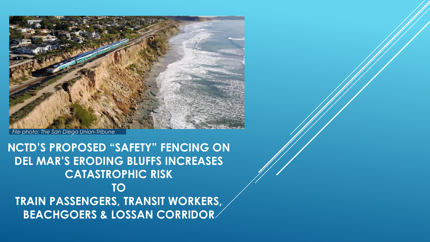

*File photo: The San Diego Union-Tribune*

**NCTD'S PROPOSED "SAFETY" FENCING ON DEL MAR'S ERODING BLUFFS INCREASES CATASTROPHIC RISK TO TRAIN PASSENGERS, TRANSIT WORKERS, BEACHGOERS & LOSSAN CORRIDOR**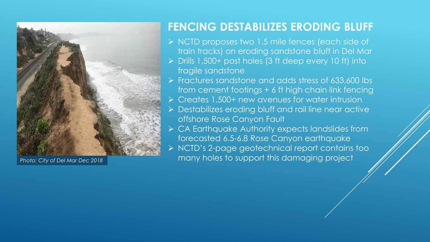

*Photo: City of Del Mar Dec 2018* 

### **FENCING DESTABILIZES ERODING BLUFF**

- ➢ NCTD proposes two 1.5 mile fences (each side of train tracks) on eroding sandstone bluff in Del Mar
- ➢ Drills 1,500+ post holes (3 ft deep every 10 ft) into fragile sandstone
- ➢ Fractures sandstone and adds stress of 633,600 lbs from cement footings + 6 ft high chain link fencing
- ➢ Creates 1,500+ new avenues for water intrusion
- ➢ Destabilizes eroding bluff and rail line near active offshore Rose Canyon Fault
- ➢ CA Earthquake Authority expects landslides from forecasted 6.5-6.8 Rose Canyon earthquake
- ➢ NCTD's 2-page geotechnical report contains too many holes to support this damaging project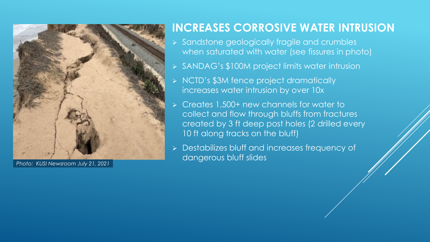

*Photo: KUSI Newsroom July 21, 2021*

## **INCREASES CORROSIVE WATER INTRUSION**

- ➢ Sandstone geologically fragile and crumbles when saturated with water (see fissures in photo)
- ➢ SANDAG's \$100M project limits water intrusion
- ➢ NCTD's \$3M fence project dramatically increases water intrusion by over 10x
- ➢ Creates 1,500+ new channels for water to collect and flow through bluffs from fractures created by 3 ft deep post holes (2 drilled every 10 ft along tracks on the bluff)
- ➢ Destabilizes bluff and increases frequency of dangerous bluff slides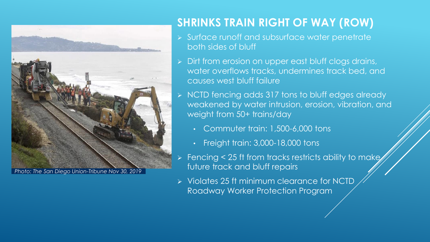

*Photo: The San Diego Union-Tribune Nov 30, 2019*

## **SHRINKS TRAIN RIGHT OF WAY (ROW)**

- ➢ Surface runoff and subsurface water penetrate both sides of bluff
- ➢ Dirt from erosion on upper east bluff clogs drains, water overflows tracks, undermines track bed, and causes west bluff failure
- ➢ NCTD fencing adds 317 tons to bluff edges already weakened by water intrusion, erosion, vibration, and weight from 50+ trains/day
	- Commuter train: 1,500-6,000 tons
	- Freight train: 3,000-18,000 tons
- Fencing < 25 ft from tracks restricts ability to make future track and bluff repairs
- ➢ Violates 25 ft minimum clearance for NCTD Roadway Worker Protection Program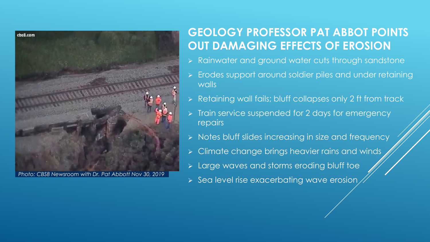

## **GEOLOGY PROFESSOR PAT ABBOT POINTS OUT DAMAGING EFFECTS OF EROSION**

- ➢ Rainwater and ground water cuts through sandstone
- ➢ Erodes support around soldier piles and under retaining walls
- ➢ Retaining wall fails; bluff collapses only 2 ft from track
- ➢ Train service suspended for 2 days for emergency repairs
- ➢ Notes bluff slides increasing in size and frequency
- ➢ Climate change brings heavier rains and winds
- ➢ Large waves and storms eroding bluff toe
- ➢ Sea level rise exacerbating wave erosion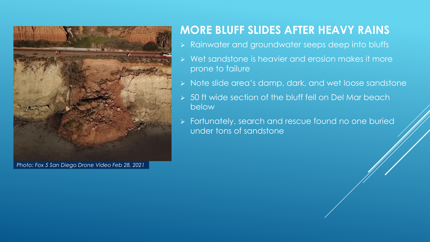

## **MORE BLUFF SLIDES AFTER HEAVY RAINS**

- ➢ Rainwater and groundwater seeps deep into bluffs
- ➢ Wet sandstone is heavier and erosion makes it more prone to failure
- ➢ Note slide area's damp, dark, and wet loose sandstone
- ➢ 50 ft wide section of the bluff fell on Del Mar beach below
- ➢ Fortunately, search and rescue found no one buried under tons of sandstone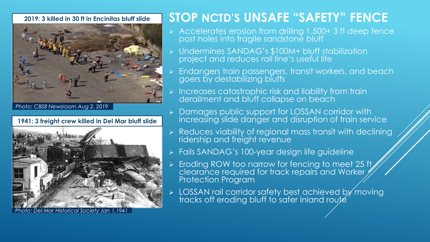#### **2019: 3 killed in 30 ft in Encinitas bluff slide**



*Photo: CBS8 Newsroom Aug 2, 2019*

#### **1941: 3 freight crew killed in Del Mar bluff slide**



*Photo: Del Mar Historical Society Jan 1,1941*

## **STOP NCTD'S UNSAFE "SAFETY" FENCE**

- ➢ Accelerates erosion from drilling 1,500+ 3 ft deep fence post holes into fragile sandstone bluff
- ➢ Undermines SANDAG's \$100M+ bluff stabilization project and reduces rail line's useful life
- ➢ Endangers train passengers, transit workers, and beach goers by destabilizing bluffs
- Increases catastrophic risk and liability from train derailment and bluff collapse on beach
- ➢ Damages public support for LOSSAN corridor with increasing slide danger and disruption of train service
- ➢ Reduces viability of regional mass transit with declining ridership and freight revenue
- ➢ Fails SANDAG's 100-year design life guideline
- ➢ Eroding ROW too narrow for fencing to meet 25 ft clearance required for track repairs and Worker  $\bar{p}$ Protection Program
- LOSSAN rail corridor safety best achieved by moving tracks off eroding bluff to safer inland route